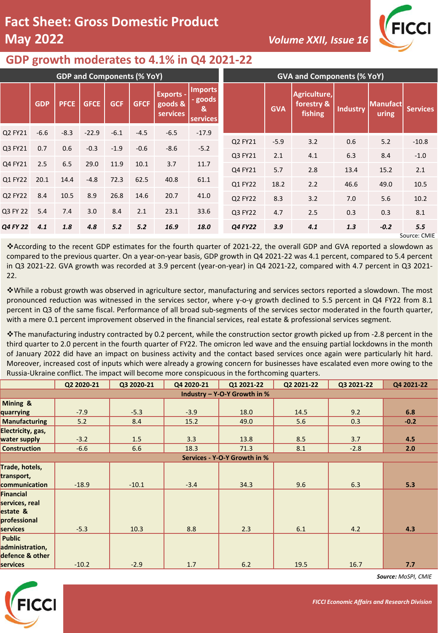## **Fact Sheet: Gross Domestic Product May 2022** *Volume XXII, Issue 16*



## **GDP growth moderates to 4.1% in Q4 2021-22**

| <b>GDP and Components (% YoY)</b> |            |             |             |            |             |                                         | <b>GVA and Components (% YoY)</b>          |         |            |                                       |                 |                   |                     |
|-----------------------------------|------------|-------------|-------------|------------|-------------|-----------------------------------------|--------------------------------------------|---------|------------|---------------------------------------|-----------------|-------------------|---------------------|
|                                   | <b>GDP</b> | <b>PFCE</b> | <b>GFCE</b> | <b>GCF</b> | <b>GFCF</b> | <b>Exports -</b><br>goods &<br>services | <b>Imports</b><br>- goods<br>&<br>services |         | <b>GVA</b> | Agriculture,<br>forestry &<br>fishing | <b>Industry</b> | Manufact<br>uring | <b>Services</b>     |
| Q2 FY21                           | $-6.6$     | $-8.3$      | $-22.9$     | $-6.1$     | $-4.5$      | $-6.5$                                  | $-17.9$                                    |         |            |                                       |                 |                   |                     |
| Q3 FY21                           | 0.7        | 0.6         | $-0.3$      | $-1.9$     | $-0.6$      | $-8.6$                                  | $-5.2$                                     | Q2 FY21 | $-5.9$     | 3.2                                   | 0.6             | 5.2               | $-10.8$             |
|                                   |            |             |             |            |             |                                         |                                            | Q3 FY21 | 2.1        | 4.1                                   | 6.3             | 8.4               | $-1.0$              |
| Q4 FY21                           | 2.5        | 6.5         | 29.0        | 11.9       | 10.1        | 3.7                                     | 11.7                                       | Q4 FY21 | 5.7        | 2.8                                   | 13.4            | 15.2              | 2.1                 |
| Q1 FY22                           | 20.1       | 14.4        | $-4.8$      | 72.3       | 62.5        | 40.8                                    | 61.1                                       | Q1 FY22 | 18.2       | 2.2                                   | 46.6            | 49.0              | 10.5                |
| Q2 FY22                           | 8.4        | 10.5        | 8.9         | 26.8       | 14.6        | 20.7                                    | 41.0                                       | Q2 FY22 | 8.3        | 3.2                                   | 7.0             | 5.6               | 10.2                |
| Q3 FY 22                          | 5.4        | 7.4         | 3.0         | 8.4        | 2.1         | 23.1                                    | 33.6                                       | Q3 FY22 | 4.7        | 2.5                                   | 0.3             | 0.3               | 8.1                 |
| Q4 FY 22                          | 4.1        | 1.8         | 4.8         | 5.2        | 5.2         | 16.9                                    | 18.0                                       | Q4 FY22 | 3.9        | 4.1                                   | 1.3             | $-0.2$            | 5.5<br>Source: CMIE |

❖According to the recent GDP estimates for the fourth quarter of 2021-22, the overall GDP and GVA reported a slowdown as compared to the previous quarter. On a year-on-year basis, GDP growth in Q4 2021-22 was 4.1 percent, compared to 5.4 percent in Q3 2021-22. GVA growth was recorded at 3.9 percent (year-on-year) in Q4 2021-22, compared with 4.7 percent in Q3 2021- 22.

❖While a robust growth was observed in agriculture sector, manufacturing and services sectors reported a slowdown. The most pronounced reduction was witnessed in the services sector, where y-o-y growth declined to 5.5 percent in Q4 FY22 from 8.1 percent in Q3 of the same fiscal. Performance of all broad sub-segments of the services sector moderated in the fourth quarter, with a mere 0.1 percent improvement observed in the financial services, real estate & professional services segment.

❖The manufacturing industry contracted by 0.2 percent, while the construction sector growth picked up from -2.8 percent in the third quarter to 2.0 percent in the fourth quarter of FY22. The omicron led wave and the ensuing partial lockdowns in the month of January 2022 did have an impact on business activity and the contact based services once again were particularly hit hard. Moreover, increased cost of inputs which were already a growing concern for businesses have escalated even more owing to the Russia-Ukraine conflict. The impact will become more conspicuous in the forthcoming quarters.

|                              | Q2 2020-21 | Q3 2020-21 | Q4 2020-21 | Q1 2021-22 | Q2 2021-22 | Q3 2021-22 | Q4 2021-22 |  |  |
|------------------------------|------------|------------|------------|------------|------------|------------|------------|--|--|
| Industry - Y-O-Y Growth in % |            |            |            |            |            |            |            |  |  |
| Mining &                     |            |            |            |            |            |            |            |  |  |
| quarrying                    | $-7.9$     | $-5.3$     | $-3.9$     | 18.0       | 14.5       | 9.2        | 6.8        |  |  |
| <b>Manufacturing</b>         | 5.2        | 8.4        | 15.2       | 49.0       | 5.6        | 0.3        | $-0.2$     |  |  |
| Electricity, gas,            |            |            |            |            |            |            |            |  |  |
| water supply                 | $-3.2$     | 1.5        | 3.3        | 13.8       | 8.5        | 3.7        | 4.5        |  |  |
| <b>Construction</b>          | $-6.6$     | 6.6        | 18.3       | 71.3       | 8.1        | $-2.8$     | 2.0        |  |  |
| Services - Y-O-Y Growth in % |            |            |            |            |            |            |            |  |  |
| Trade, hotels,               |            |            |            |            |            |            |            |  |  |
| transport,                   |            |            |            |            |            |            |            |  |  |
| communication                | $-18.9$    | $-10.1$    | $-3.4$     | 34.3       | 9.6        | 6.3        | 5.3        |  |  |
| <b>Financial</b>             |            |            |            |            |            |            |            |  |  |
| services, real               |            |            |            |            |            |            |            |  |  |
| estate &                     |            |            |            |            |            |            |            |  |  |
| professional                 |            |            |            |            |            |            |            |  |  |
| services                     | $-5.3$     | 10.3       | 8.8        | 2.3        | 6.1        | 4.2        | 4.3        |  |  |
| <b>Public</b>                |            |            |            |            |            |            |            |  |  |
| administration,              |            |            |            |            |            |            |            |  |  |
| defence & other              |            |            |            |            |            |            |            |  |  |
| services                     | $-10.2$    | $-2.9$     | 1.7        | 6.2        | 19.5       | 16.7       | 7.7        |  |  |
|                              |            |            |            |            |            |            |            |  |  |

*Source: MoSPI, CMIE*